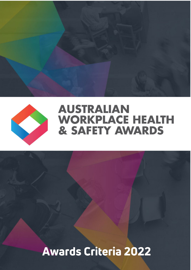

## **AUSTRALIAN WORKPLACE HEALTH & SAFETY AWARDS**

# **Awards Criteria 2022**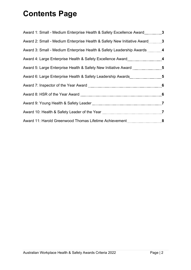## **Contents Page**

| Award 1: Small - Medium Enterprise Health & Safety Excellence Award 3     |  |
|---------------------------------------------------------------------------|--|
| Award 2: Small - Medium Enterprise Health & Safety New Initiative Award 3 |  |
|                                                                           |  |
|                                                                           |  |
| Award 5: Large Enterprise Health & Safety New Initiative Award 5          |  |
| Award 6: Large Enterprise Health & Safety Leadership Awards5              |  |
|                                                                           |  |
|                                                                           |  |
|                                                                           |  |
|                                                                           |  |
|                                                                           |  |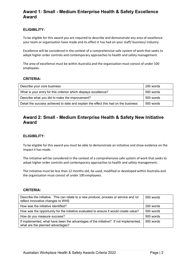## **Award 1: Small - Medium Enterprise Health & Safety Excellence Award**

#### **ELIGIBILITY:**

To be eligible for this award you are required to describe and demonstrate any area of excellence your team or organisation have made and its effect it has had on your staff/ business/ industry.

Excellence will be considered in the context of a comprehensive safe system of work that seeks to adopt higher order controls and contemporary approaches to health and safety management.

The area of excellence must be within Australia and the organisation must consist of under 100 employees.

#### **CRITERIA:**

| Describe your core business                                                         | 200 words |
|-------------------------------------------------------------------------------------|-----------|
| What is your entry for this criterion which displays excellence?                    | 500 words |
| Describe what you did to make the improvement?                                      | 500 words |
| Detail the success achieved to date and explain the effect this had on the business | 500 words |

## **Award 2: Small - Medium Enterprise Health & Safety New Initiative Award**

#### **ELIGIBILITY:**

To be eligible for this award you must be able to demonstrate an initiative and show evidence on the impact it has made.

The initiative will be considered in the context of a comprehensive safe system of work that seeks to adopt higher order controls and contemporary approaches to health and safety management.

The initiative must be less than 12 months old, be used, modified or developed within Australia and the organization must consist of under 100 employees.

| Describe the initiative. This can relate to a new produce, process or service and /or<br>reflect innovative changes to WHS | 500 words |
|----------------------------------------------------------------------------------------------------------------------------|-----------|
| How was the initiative identified?                                                                                         | 200 words |
| How was the opportunity for the initiative evaluated to ensure it would create value?                                      | 500 words |
| How do you measure success?                                                                                                | 500 words |
| If implemented, what have been the advantages of the initiative? If not implemented,<br>what are the planned advantages?   | 500 words |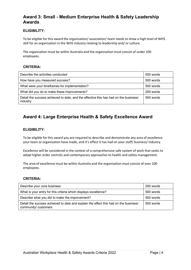## **Award 3: Small - Medium Enterprise Health & Safety Leadership Awards**

#### **ELIGIBILITY:**

To be eligible for this award the organisation/ association/ team needs to show a high level of WHS skill for an organisation in the WHS industry relating to leadership and/ or culture.

The organisation must be within Australia and the organisation must consist of under 100 employees.

#### **CRITERIA:**

| Describe the activities conducted                                                                | 500 words |
|--------------------------------------------------------------------------------------------------|-----------|
| How have you measured success?                                                                   | 500 words |
| What were your timeframes for implementation?                                                    | 500 words |
| What did you do to make these improvements?                                                      | 200 words |
| Detail the success achieved to date, and the effective this has had on the business/<br>industry | 500 words |

## **Award 4: Large Enterprise Health & Safety Excellence Award**

#### **ELIGIBILITY:**

To be eligible for this award you are required to describe and demonstrate any area of excellence your team or organisation have made, and it's effect it has had on your staff/ business/ industry.

Excellence will be considered in the context of a comprehensive safe system of work that seeks to adopt higher order controls and contemporary approaches to health and safety management.

The area of excellence must be within Australia and the organisation must consist of over 100 employees.

| Describe your core business                                                                                  | 200 words |
|--------------------------------------------------------------------------------------------------------------|-----------|
| What is your entry for this criteria which displays excellence?                                              | 500 words |
| Describe what you did to make the improvement?                                                               | 500 words |
| Detail the success achieved to date and explain the effect this had on the business/<br>community/ customers | 500 words |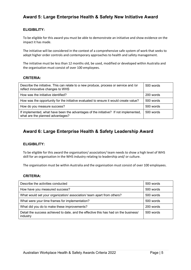## **Award 5: Large Enterprise Health & Safety New Initiative Award**

#### **ELIGIBILITY:**

To be eligible for this award you must be able to demonstrate an initiative and show evidence on the impact it has made.

The initiative will be considered in the context of a comprehensive safe system of work that seeks to adopt higher order controls and contemporary approaches to health and safety management.

The initiative must be less than 12 months old, be used, modified or developed within Australia and the organisation must consist of over 100 employees.

#### **CRITERIA:**

| Describe the initiative. This can relate to a new produce, process or service and /or<br>reflect innovative changes to WHS | 500 words |
|----------------------------------------------------------------------------------------------------------------------------|-----------|
| How was the initiative identified?                                                                                         | 200 words |
| How was the opportunity for the initiative evaluated to ensure it would create value?                                      | 500 words |
| How do you measure success?                                                                                                | 500 words |
| If implemented, what have been the advantages of the initiative? If not implemented,<br>what are the planned advantages?   | 500 words |

## **Award 6: Large Enterprise Health & Safety Leadership Award**

#### **ELIGIBILITY:**

To be eligible for this award the organisation/ association/ team needs to show a high level of WHS skill for an organisation in the WHS industry relating to leadership and/ or culture.

The organisation must be within Australia and the organisation must consist of over 100 employees.

| Describe the activities conducted                                                                | 500 words |
|--------------------------------------------------------------------------------------------------|-----------|
| How have you measured success?                                                                   | 500 words |
| What would set your organization/ association/ team apart from others?                           | 500 words |
| What were your time frames for implementation?                                                   | 500 words |
| What did you do to make these improvements?                                                      | 200 words |
| Detail the success achieved to date, and the effective this has had on the business/<br>industry | 500 words |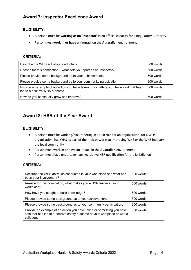## **Award 7: Inspector Excellence Award**

#### **ELIGIBILITY:**

- A person must be **working as an 'inspector'** in an official capacity for a Regulatory Authority
- Person must **work in or have an impact** on the **Australian** environment

#### **CRITERIA:**

| Describe the WHS activities conducted?                                                                              | 500 words   |
|---------------------------------------------------------------------------------------------------------------------|-------------|
| Reason for this nomination – what sets you apart as an Inspector?                                                   | 500 words   |
| Please provide some background as to your achievements                                                              | 500 words   |
| Please provide some background as to your community participation                                                   | 200 words   |
| Provide an example of an action you have taken or something you have said that has<br>led to a positive WHS outcome | 500 words   |
| How do you continually grow and improve?                                                                            | $500$ words |

## **Award 8: HSR of the Year Award**

#### **ELIGIBILITY:**

- A person must be working/ volunteering in a HSR role for an organisation, for a WHS organisation, has WHS as part of their job or works at improving WHS or the WHS industry in the local community
- Person must work in or have an impact in the **Australian** environment
- Person must have undertaken any legislative HSR qualification for the jurisdiction

| Describe the WHS activities conducted in your workplace and what has<br>been your involvement?                                                                   | 500 words |
|------------------------------------------------------------------------------------------------------------------------------------------------------------------|-----------|
| Reason for this nomination, what makes you a HSR leader in your<br>workplace?                                                                                    | 500 words |
| How have you sought to build knowledge?                                                                                                                          | 500 words |
| Please provide some background as to your achievements                                                                                                           | 500 words |
| Please provide some background as to your community participation.                                                                                               | 200 words |
| Provide an example of an action you have taken or something you have<br>said that has led to a positive safety outcome at your workplace or with a<br>colleague. | 500 words |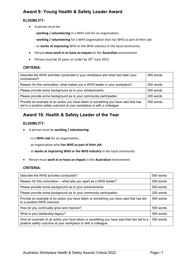## **Award 9: Young Health & Safety Leader Award**

#### **ELIGIBILITY:**

- A person must be:
	- **working / volunteering** in a WHS role for an organisation,
	- **working / volunteering** for a WHS organisation that has WHS as part of their job
	- or **works at improving** WHS or the WHS industry in the local community
- Person **must work in or have an impact** on the **Australian** environment
- Person must be 35 years or under by 30<sup>th</sup> June 2022

#### **CRITERIA:**

| Describe the WHS activities conducted in your workplace and what has been your<br>involvement?                                                               | 500 words |
|--------------------------------------------------------------------------------------------------------------------------------------------------------------|-----------|
| Reason for this nomination, what makes you a WHS leader in your workplace?                                                                                   | 500 words |
| Please provide some background as to your achievements                                                                                                       | 500 words |
| Please provide some background as to your community participation                                                                                            | 200 words |
| Provide an example of an action you have taken or something you have said that has<br>led to a positive safety outcome at your workplace or with a colleague | 500 words |

## **Award 10: Health & Safety Leader of the Year**

#### **ELIGIBILITY:**

- A person must be **working / volunteering**:
	- in a **WHS role** for an organisation,
	- an organisation who **has WHS as part of their job**
	- or **works at improving WHS or the WHS industry** in the local community
- Person must **work in or have an impact** in the **Australian** environment

| Describe the WHS activities conducted?                                                                                                                    | 500 words |
|-----------------------------------------------------------------------------------------------------------------------------------------------------------|-----------|
| Reason for this nomination – what sets you apart as a WHS leader?                                                                                         | 500 words |
| Please provide some background as to your achievements                                                                                                    | 500 words |
| Please provide some background as to your community participation                                                                                         | 200 words |
| Provide an example of an action you have taken or something you have said that has led<br>to a positive WHS outcome                                       | 500 words |
| How do you continually grow and improve?                                                                                                                  | 500 words |
| What is your leadership legacy?                                                                                                                           | 500 words |
| Give an example of an action you have taken or something you have said that has led to a<br>positive safety outcome at your workplace or with a colleague | 500 words |